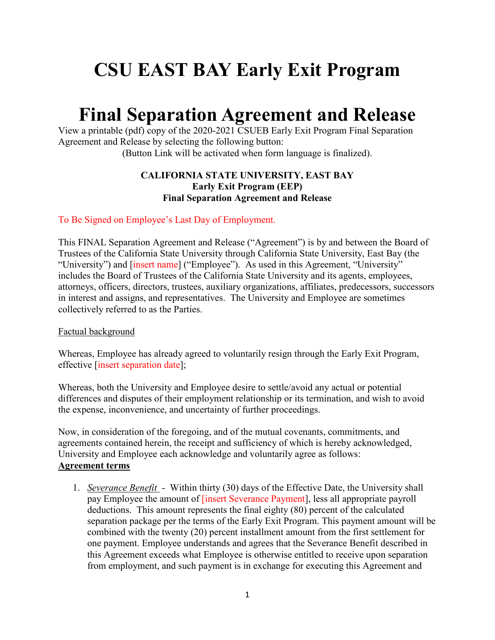## **CSU EAST BAY Early Exit Program**

## **Final Separation Agreement and Release**

View a printable (pdf) copy of the 2020-2021 CSUEB Early Exit Program Final Separation Agreement and Release by selecting the following button:

(Button Link will be activated when form language is finalized).

## **CALIFORNIA STATE UNIVERSITY, EAST BAY Early Exit Program (EEP) Final Separation Agreement and Release**

To Be Signed on Employee's Last Day of Employment.

This FINAL Separation Agreement and Release ("Agreement") is by and between the Board of Trustees of the California State University through California State University, East Bay (the "University") and [insert name] ("Employee"). As used in this Agreement, "University" includes the Board of Trustees of the California State University and its agents, employees, attorneys, officers, directors, trustees, auxiliary organizations, affiliates, predecessors, successors in interest and assigns, and representatives. The University and Employee are sometimes collectively referred to as the Parties.

## Factual background

Whereas, Employee has already agreed to voluntarily resign through the Early Exit Program, effective [insert separation date];

Whereas, both the University and Employee desire to settle/avoid any actual or potential differences and disputes of their employment relationship or its termination, and wish to avoid the expense, inconvenience, and uncertainty of further proceedings.

Now, in consideration of the foregoing, and of the mutual covenants, commitments, and agreements contained herein, the receipt and sufficiency of which is hereby acknowledged, University and Employee each acknowledge and voluntarily agree as follows: **Agreement terms**

1. *Severance Benefit* - Within thirty (30) days of the Effective Date, the University shall pay Employee the amount of *[insert Severance Payment]*, less all appropriate payroll deductions. This amount represents the final eighty (80) percent of the calculated separation package per the terms of the Early Exit Program. This payment amount will be combined with the twenty (20) percent installment amount from the first settlement for one payment. Employee understands and agrees that the Severance Benefit described in this Agreement exceeds what Employee is otherwise entitled to receive upon separation from employment, and such payment is in exchange for executing this Agreement and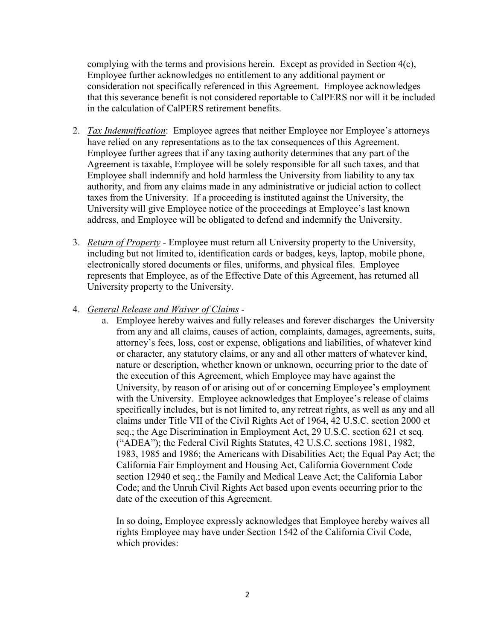complying with the terms and provisions herein. Except as provided in Section  $4(c)$ , Employee further acknowledges no entitlement to any additional payment or consideration not specifically referenced in this Agreement. Employee acknowledges that this severance benefit is not considered reportable to CalPERS nor will it be included in the calculation of CalPERS retirement benefits.

- 2. *Tax Indemnification*: Employee agrees that neither Employee nor Employee's attorneys have relied on any representations as to the tax consequences of this Agreement. Employee further agrees that if any taxing authority determines that any part of the Agreement is taxable, Employee will be solely responsible for all such taxes, and that Employee shall indemnify and hold harmless the University from liability to any tax authority, and from any claims made in any administrative or judicial action to collect taxes from the University. If a proceeding is instituted against the University, the University will give Employee notice of the proceedings at Employee's last known address, and Employee will be obligated to defend and indemnify the University.
- 3. *Return of Property* Employee must return all University property to the University, including but not limited to, identification cards or badges, keys, laptop, mobile phone, electronically stored documents or files, uniforms, and physical files. Employee represents that Employee, as of the Effective Date of this Agreement, has returned all University property to the University.
- 4. *General Release and Waiver of Claims* 
	- a. Employee hereby waives and fully releases and forever discharges the University from any and all claims, causes of action, complaints, damages, agreements, suits, attorney's fees, loss, cost or expense, obligations and liabilities, of whatever kind or character, any statutory claims, or any and all other matters of whatever kind, nature or description, whether known or unknown, occurring prior to the date of the execution of this Agreement, which Employee may have against the University, by reason of or arising out of or concerning Employee's employment with the University. Employee acknowledges that Employee's release of claims specifically includes, but is not limited to, any retreat rights, as well as any and all claims under Title VII of the Civil Rights Act of 1964, 42 U.S.C. section 2000 et seq.; the Age Discrimination in Employment Act, 29 U.S.C. section 621 et seq. ("ADEA"); the Federal Civil Rights Statutes, 42 U.S.C. sections 1981, 1982, 1983, 1985 and 1986; the Americans with Disabilities Act; the Equal Pay Act; the California Fair Employment and Housing Act, California Government Code section 12940 et seq.; the Family and Medical Leave Act; the California Labor Code; and the Unruh Civil Rights Act based upon events occurring prior to the date of the execution of this Agreement.

In so doing, Employee expressly acknowledges that Employee hereby waives all rights Employee may have under Section 1542 of the California Civil Code, which provides: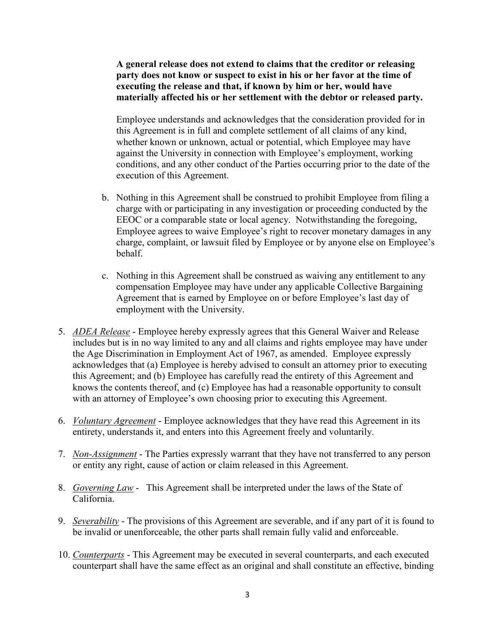**A general release does not extend to claims that the creditor or releasing party does not know or suspect to exist in his or her favor at the time of executing the release and that, if known by him or her, would have materially affected his or her settlement with the debtor or released party.**

Employee understands and acknowledges that the consideration provided for in this Agreement is in full and complete settlement of all claims of any kind, whether known or unknown, actual or potential, which Employee may have against the University in connection with Employee's employment, working conditions, and any other conduct of the Parties occurring prior to the date of the execution of this Agreement.

- b. Nothing in this Agreement shall be construed to prohibit Employee from filing a charge with or participating in any investigation or proceeding conducted by the EEOC or a comparable state or local agency. Notwithstanding the foregoing, Employee agrees to waive Employee's right to recover monetary damages in any charge, complaint, or lawsuit filed by Employee or by anyone else on Employee's behalf.
- c. Nothing in this Agreement shall be construed as waiving any entitlement to any compensation Employee may have under any applicable Collective Bargaining Agreement that is earned by Employee on or before Employee's last day of employment with the University.
- 5. *ADEA Release* Employee hereby expressly agrees that this General Waiver and Release includes but is in no way limited to any and all claims and rights employee may have under the Age Discrimination in Employment Act of 1967, as amended. Employee expressly acknowledges that (a) Employee is hereby advised to consult an attorney prior to executing this Agreement; and (b) Employee has carefully read the entirety of this Agreement and knows the contents thereof, and (c) Employee has had a reasonable opportunity to consult with an attorney of Employee's own choosing prior to executing this Agreement.
- 6. *Voluntary Agreement* Employee acknowledges that they have read this Agreement in its entirety, understands it, and enters into this Agreement freely and voluntarily.
- 7. *Non-Assignment* The Parties expressly warrant that they have not transferred to any person or entity any right, cause of action or claim released in this Agreement.
- 8. *Governing Law* This Agreement shall be interpreted under the laws of the State of California.
- 9. *Severability* The provisions of this Agreement are severable, and if any part of it is found to be invalid or unenforceable, the other parts shall remain fully valid and enforceable.
- 10. *Counterparts* This Agreement may be executed in several counterparts, and each executed counterpart shall have the same effect as an original and shall constitute an effective, binding